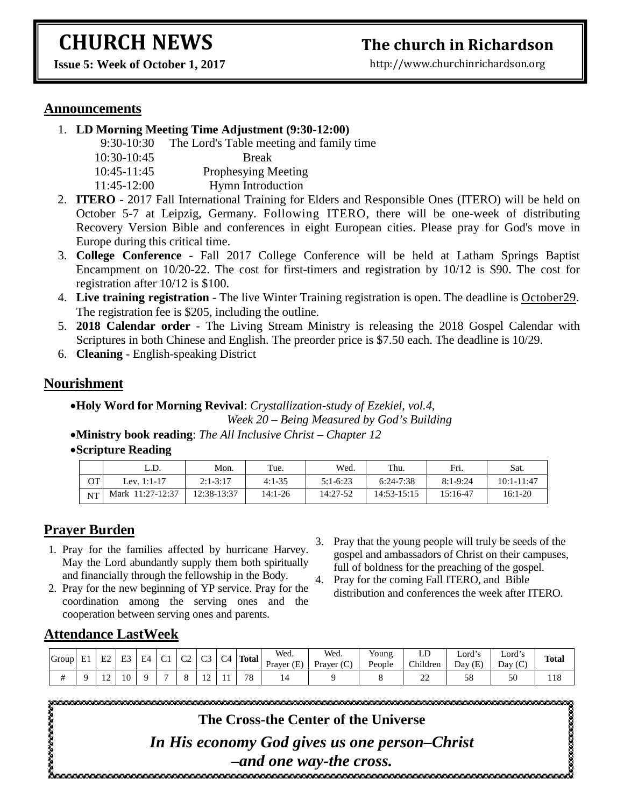# **CHURCH NEWS**

## **The church in Richardson**

**Issue 5: Week of October 1, 2017**

http://www.churchinrichardson.org

#### **Announcements**

1. **LD Morning Meeting Time Adjustment (9:30-12:00)** 

| $9:30-10:30$ | The Lord's Table meeting and family time |
|--------------|------------------------------------------|
| 10:30-10:45  | <b>Break</b>                             |
| 10:45-11:45  | Prophesying Meeting                      |
| 11:45-12:00  | Hymn Introduction                        |

- 2. **ITERO** 2017 Fall International Training for Elders and Responsible Ones (ITERO) will be held on October 5-7 at Leipzig, Germany. Following ITERO, there will be one-week of distributing Recovery Version Bible and conferences in eight European cities. Please pray for God's move in Europe during this critical time.
- 3. **College Conference** Fall 2017 College Conference will be held at Latham Springs Baptist Encampment on 10/20-22. The cost for first-timers and registration by 10/12 is \$90. The cost for registration after 10/12 is \$100.
- 4. **Live training registration** The live Winter Training registration is open. The deadline is October29. The registration fee is \$205, including the outline.
- 5. **2018 Calendar order** The Living Stream Ministry is releasing the 2018 Gospel Calendar with Scriptures in both Chinese and English. The preorder price is \$7.50 each. The deadline is 10/29.
- 6. **Cleaning** English-speaking District

#### **Nourishment**

•**Holy Word for Morning Revival**: *Crystallization-study of Ezekiel, vol.4, Week 20 – Being Measured by God's Building*

- •**Ministry book reading**: *The All Inclusive Christ – Chapter 12*
- •**Scripture Reading**

|           | L.D.             | Mon.         | Tue.     | Wed.       | Thu.        | Fri.         | Sat.       |
|-----------|------------------|--------------|----------|------------|-------------|--------------|------------|
| <b>OT</b> | Lev. 1:1-17      | $2:1 - 3:17$ | $4:1-35$ | $5:1-6:23$ | $6:24-7:38$ | $8:1 - 9:24$ | 10:1-11:47 |
| <b>NT</b> | Mark 11:27-12:37 | 12:38-13:37  | 14:1-26  | 14:27-52   | 14:53-15:15 | 15:16-47     | 16:1-20    |

#### **Prayer Burden**

- 1. Pray for the families affected by hurricane Harvey. May the Lord abundantly supply them both spiritually and financially through the fellowship in the Body.
- 2. Pray for the new beginning of YP service. Pray for the coordination among the serving ones and the cooperation between serving ones and parents.
- 3. Pray that the young people will truly be seeds of the gospel and ambassadors of Christ on their campuses, full of boldness for the preaching of the gospel.
- 4. Pray for the coming Fall ITERO, and Bible distribution and conferences the week after ITERO.

#### **Attendance LastWeek**

| Group | E. | E2            | E2<br>نت       | E4 | $\sim$<br>◡ | $\sim$<br>◡▵ | $\sim$<br>ت    | C <sub>4</sub> | <b>Total</b> | Wed.<br>(E)<br>Prayer | Wea.<br>Prayer (C) | <b>TT</b><br>Young<br>People | ᆈ<br>Children | $\mathbf{H}$<br>$\text{Lord}^{\prime}$<br>Day<br>(T)<br>(E. | .<br>Lord´s<br>$\sim$<br>Day<br>، ال | <b>Total</b> |
|-------|----|---------------|----------------|----|-------------|--------------|----------------|----------------|--------------|-----------------------|--------------------|------------------------------|---------------|-------------------------------------------------------------|--------------------------------------|--------------|
| π     |    | $\sim$<br>. . | 1 <sub>0</sub> |    |             |              | $\overline{ }$ |                | 70           |                       |                    |                              | ~~<br>∸       | 58                                                          | 50                                   | 118          |

ೲೲೲೲೲೲೲ

**The Cross-the Center of the Universe**

*In His economy God gives us one person–Christ –and one way-the cross.*